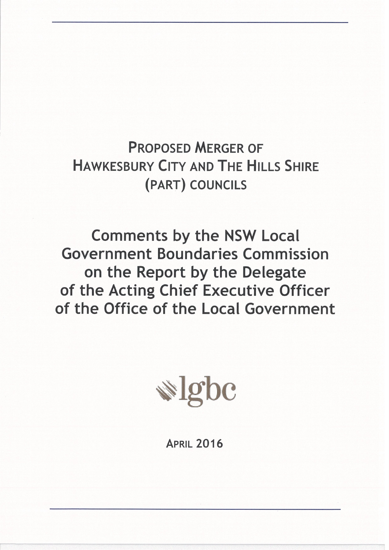**PROPOSED MERGER OF HAWKESBURY CITY AND THE HILLS SHIRE** (PART) COUNCILS

**Comments by the NSW Local Government Boundaries Commission** on the Report by the Delegate of the Acting Chief Executive Officer of the Office of the Local Government



**APRIL 2016**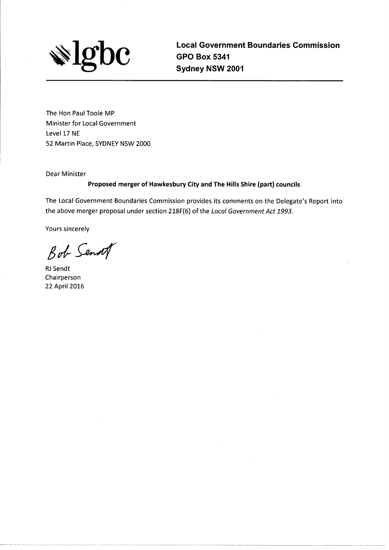

**Local Government Boundaries Commission GPO Box 5341** Sydney NSW 2001

The Hon Paul Toole MP Minister for Local Government Level 17 NE 52 Martin Place, SYDNEY NSW 2000

Dear Minister

#### Proposed merger of Hawkesbury City and The Hills Shire (part) councils

The Local Government Boundaries Commission provides its comments on the Delegate's Report into the above merger proposal under section 218F(6) of the Local Government Act 1993.

Yours sincerely

Bob Senat

**RJ** Sendt Chairperson 22 April 2016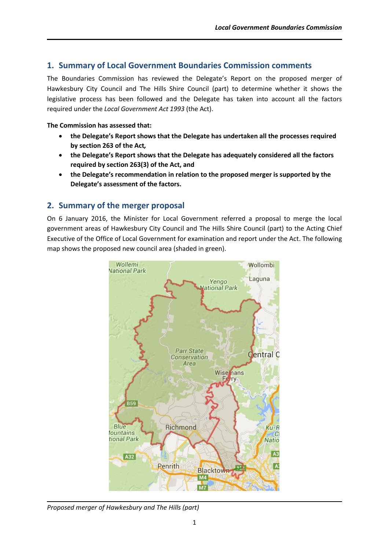## **1. Summary of Local Government Boundaries Commission comments**

The Boundaries Commission has reviewed the Delegate's Report on the proposed merger of Hawkesbury City Council and The Hills Shire Council (part) to determine whether it shows the legislative process has been followed and the Delegate has taken into account all the factors required under the *Local Government Act 1993* (the Act).

#### **The Commission has assessed that:**

- **the Delegate's Report shows that the Delegate has undertaken all the processes required by section 263 of the Act***,*
- **the Delegate's Report shows that the Delegate has adequately considered all the factors required by section 263(3) of the Act, and**
- **the Delegate's recommendation in relation to the proposed merger is supported by the Delegate's assessment of the factors.**

## **2. Summary of the merger proposal**

On 6 January 2016, the Minister for Local Government referred a proposal to merge the local government areas of Hawkesbury City Council and The Hills Shire Council (part) to the Acting Chief Executive of the Office of Local Government for examination and report under the Act. The following map shows the proposed new council area (shaded in green).



*Proposed merger of Hawkesbury and The Hills (part)*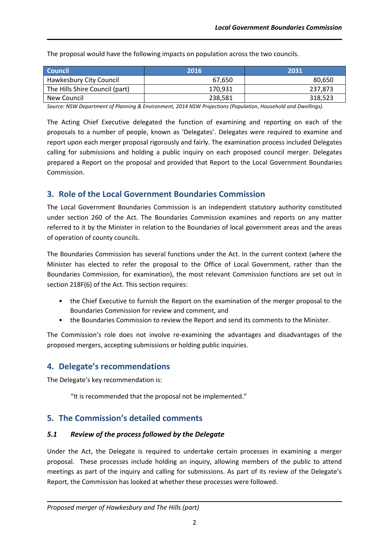| <b>Council</b>                 | 2016    | 2031    |
|--------------------------------|---------|---------|
| <b>Hawkesbury City Council</b> | 67.650  | 80.650  |
| The Hills Shire Council (part) | 170,931 | 237.873 |
| New Council                    | 238,581 | 318,523 |

The proposal would have the following impacts on population across the two councils.

*Source: NSW Department of Planning & Environment, 2014 NSW Projections (Population, Household and Dwellings).*

The Acting Chief Executive delegated the function of examining and reporting on each of the proposals to a number of people, known as 'Delegates'. Delegates were required to examine and report upon each merger proposal rigorously and fairly. The examination process included Delegates calling for submissions and holding a public inquiry on each proposed council merger. Delegates prepared a Report on the proposal and provided that Report to the Local Government Boundaries Commission.

## **3. Role of the Local Government Boundaries Commission**

The Local Government Boundaries Commission is an independent statutory authority constituted under section 260 of the Act. The Boundaries Commission examines and reports on any matter referred to it by the Minister in relation to the Boundaries of local government areas and the areas of operation of county councils.

The Boundaries Commission has several functions under the Act. In the current context (where the Minister has elected to refer the proposal to the Office of Local Government, rather than the Boundaries Commission, for examination), the most relevant Commission functions are set out in section 218F(6) of the Act. This section requires:

- the Chief Executive to furnish the Report on the examination of the merger proposal to the Boundaries Commission for review and comment, and
- the Boundaries Commission to review the Report and send its comments to the Minister.

The Commission's role does not involve re-examining the advantages and disadvantages of the proposed mergers, accepting submissions or holding public inquiries.

# **4. Delegate's recommendations**

The Delegate's key recommendation is:

"It is recommended that the proposal not be implemented."

# **5. The Commission's detailed comments**

### *5.1 Review of the process followed by the Delegate*

Under the Act, the Delegate is required to undertake certain processes in examining a merger proposal. These processes include holding an inquiry, allowing members of the public to attend meetings as part of the inquiry and calling for submissions. As part of its review of the Delegate's Report, the Commission has looked at whether these processes were followed.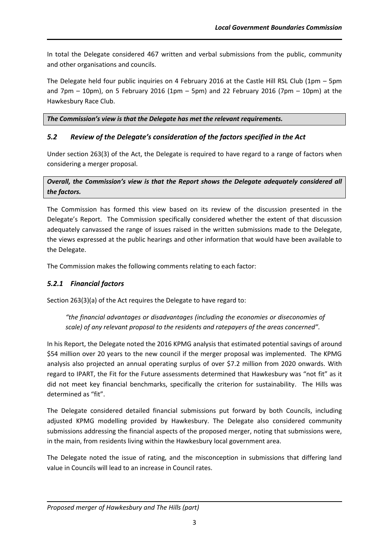In total the Delegate considered 467 written and verbal submissions from the public, community and other organisations and councils.

The Delegate held four public inquiries on 4 February 2016 at the Castle Hill RSL Club (1pm – 5pm and 7pm  $-$  10pm), on 5 February 2016 (1pm  $-$  5pm) and 22 February 2016 (7pm  $-$  10pm) at the Hawkesbury Race Club.

*The Commission's view is that the Delegate has met the relevant requirements.*

## *5.2 Review of the Delegate's consideration of the factors specified in the Act*

Under section 263(3) of the Act, the Delegate is required to have regard to a range of factors when considering a merger proposal.

### *Overall, the Commission's view is that the Report shows the Delegate adequately considered all the factors.*

The Commission has formed this view based on its review of the discussion presented in the Delegate's Report. The Commission specifically considered whether the extent of that discussion adequately canvassed the range of issues raised in the written submissions made to the Delegate, the views expressed at the public hearings and other information that would have been available to the Delegate.

The Commission makes the following comments relating to each factor:

## *5.2.1 Financial factors*

Section 263(3)(a) of the Act requires the Delegate to have regard to:

*"the financial advantages or disadvantages (including the economies or diseconomies of scale) of any relevant proposal to the residents and ratepayers of the areas concerned".*

In his Report, the Delegate noted the 2016 KPMG analysis that estimated potential savings of around \$54 million over 20 years to the new council if the merger proposal was implemented. The KPMG analysis also projected an annual operating surplus of over \$7.2 million from 2020 onwards. With regard to IPART, the Fit for the Future assessments determined that Hawkesbury was "not fit" as it did not meet key financial benchmarks, specifically the criterion for sustainability. The Hills was determined as "fit".

The Delegate considered detailed financial submissions put forward by both Councils, including adjusted KPMG modelling provided by Hawkesbury. The Delegate also considered community submissions addressing the financial aspects of the proposed merger, noting that submissions were, in the main, from residents living within the Hawkesbury local government area.

The Delegate noted the issue of rating, and the misconception in submissions that differing land value in Councils will lead to an increase in Council rates.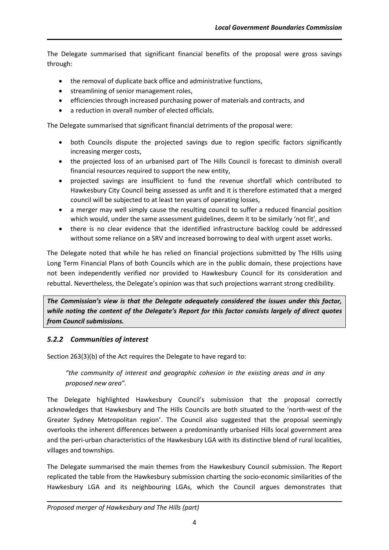The Delegate summarised that significant financial benefits of the proposal were gross savings through:

- the removal of duplicate back office and administrative functions,
- streamlining of senior management roles,
- efficiencies through increased purchasing power of materials and contracts, and
- a reduction in overall number of elected officials.

The Delegate summarised that significant financial detriments of the proposal were:

- both Councils dispute the projected savings due to region specific factors significantly increasing merger costs,
- the projected loss of an urbanised part of The Hills Council is forecast to diminish overall financial resources required to support the new entity,
- projected savings are insufficient to fund the revenue shortfall which contributed to Hawkesbury City Council being assessed as unfit and it is therefore estimated that a merged council will be subjected to at least ten years of operating losses,
- a merger may well simply cause the resulting council to suffer a reduced financial position which would, under the same assessment guidelines, deem it to be similarly 'not fit', and
- there is no clear evidence that the identified infrastructure backlog could be addressed without some reliance on a SRV and increased borrowing to deal with urgent asset works.

The Delegate noted that while he has relied on financial projections submitted by The Hills using Long Term Financial Plans of both Councils which are in the public domain, these projections have not been independently verified nor provided to Hawkesbury Council for its consideration and rebuttal. Nevertheless, the Delegate's opinion was that such projections warrant strong credibility.

*The Commission's view is that the Delegate adequately considered the issues under this factor, while noting the content of the Delegate's Report for this factor consists largely of direct quotes from Council submissions.*

## *5.2.2 Communities of interest*

Section 263(3)(b) of the Act requires the Delegate to have regard to:

*"the community of interest and geographic cohesion in the existing areas and in any proposed new area".*

The Delegate highlighted Hawkesbury Council's submission that the proposal correctly acknowledges that Hawkesbury and The Hills Councils are both situated to the 'north-west of the Greater Sydney Metropolitan region'. The Council also suggested that the proposal seemingly overlooks the inherent differences between a predominantly urbanised Hills local government area and the peri-urban characteristics of the Hawkesbury LGA with its distinctive blend of rural localities, villages and townships.

The Delegate summarised the main themes from the Hawkesbury Council submission. The Report replicated the table from the Hawkesbury submission charting the socio-economic similarities of the Hawkesbury LGA and its neighbouring LGAs, which the Council argues demonstrates that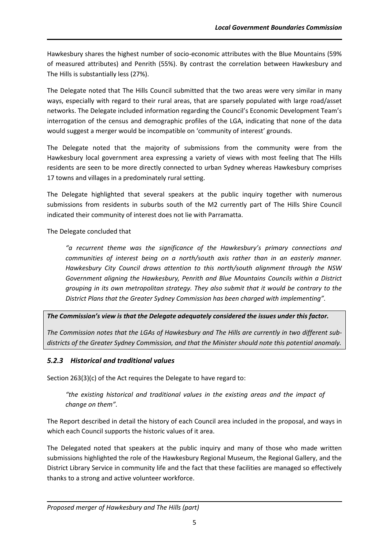Hawkesbury shares the highest number of socio-economic attributes with the Blue Mountains (59% of measured attributes) and Penrith (55%). By contrast the correlation between Hawkesbury and The Hills is substantially less (27%).

The Delegate noted that The Hills Council submitted that the two areas were very similar in many ways, especially with regard to their rural areas, that are sparsely populated with large road/asset networks. The Delegate included information regarding the Council's Economic Development Team's interrogation of the census and demographic profiles of the LGA, indicating that none of the data would suggest a merger would be incompatible on 'community of interest' grounds.

The Delegate noted that the majority of submissions from the community were from the Hawkesbury local government area expressing a variety of views with most feeling that The Hills residents are seen to be more directly connected to urban Sydney whereas Hawkesbury comprises 17 towns and villages in a predominately rural setting.

The Delegate highlighted that several speakers at the public inquiry together with numerous submissions from residents in suburbs south of the M2 currently part of The Hills Shire Council indicated their community of interest does not lie with Parramatta.

The Delegate concluded that

*"a recurrent theme was the significance of the Hawkesbury's primary connections and communities of interest being on a north/south axis rather than in an easterly manner. Hawkesbury City Council draws attention to this north/south alignment through the NSW Government aligning the Hawkesbury, Penrith and Blue Mountains Councils within a District grouping in its own metropolitan strategy. They also submit that it would be contrary to the District Plans that the Greater Sydney Commission has been charged with implementing".*

## *The Commission's view is that the Delegate adequately considered the issues under this factor.*

*The Commission notes that the LGAs of Hawkesbury and The Hills are currently in two different subdistricts of the Greater Sydney Commission, and that the Minister should note this potential anomaly.*

## *5.2.3 Historical and traditional values*

Section 263(3)(c) of the Act requires the Delegate to have regard to:

*"the existing historical and traditional values in the existing areas and the impact of change on them".*

The Report described in detail the history of each Council area included in the proposal, and ways in which each Council supports the historic values of it area.

The Delegated noted that speakers at the public inquiry and many of those who made written submissions highlighted the role of the Hawkesbury Regional Museum, the Regional Gallery, and the District Library Service in community life and the fact that these facilities are managed so effectively thanks to a strong and active volunteer workforce.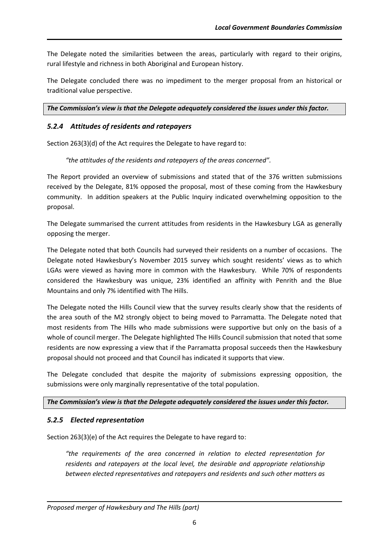The Delegate noted the similarities between the areas, particularly with regard to their origins, rural lifestyle and richness in both Aboriginal and European history.

The Delegate concluded there was no impediment to the merger proposal from an historical or traditional value perspective.

*The Commission's view is that the Delegate adequately considered the issues under this factor.* 

#### *5.2.4 Attitudes of residents and ratepayers*

Section 263(3)(d) of the Act requires the Delegate to have regard to:

*"the attitudes of the residents and ratepayers of the areas concerned".*

The Report provided an overview of submissions and stated that of the 376 written submissions received by the Delegate, 81% opposed the proposal, most of these coming from the Hawkesbury community. In addition speakers at the Public Inquiry indicated overwhelming opposition to the proposal.

The Delegate summarised the current attitudes from residents in the Hawkesbury LGA as generally opposing the merger.

The Delegate noted that both Councils had surveyed their residents on a number of occasions. The Delegate noted Hawkesbury's November 2015 survey which sought residents' views as to which LGAs were viewed as having more in common with the Hawkesbury. While 70% of respondents considered the Hawkesbury was unique, 23% identified an affinity with Penrith and the Blue Mountains and only 7% identified with The Hills.

The Delegate noted the Hills Council view that the survey results clearly show that the residents of the area south of the M2 strongly object to being moved to Parramatta. The Delegate noted that most residents from The Hills who made submissions were supportive but only on the basis of a whole of council merger. The Delegate highlighted The Hills Council submission that noted that some residents are now expressing a view that if the Parramatta proposal succeeds then the Hawkesbury proposal should not proceed and that Council has indicated it supports that view.

The Delegate concluded that despite the majority of submissions expressing opposition, the submissions were only marginally representative of the total population.

#### *The Commission's view is that the Delegate adequately considered the issues under this factor.*

#### *5.2.5 Elected representation*

Section 263(3)(e) of the Act requires the Delegate to have regard to:

*"the requirements of the area concerned in relation to elected representation for residents and ratepayers at the local level, the desirable and appropriate relationship between elected representatives and ratepayers and residents and such other matters as*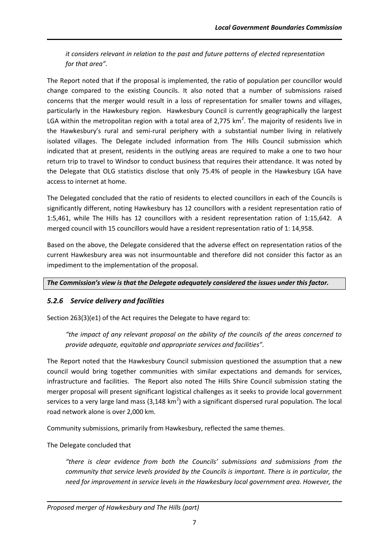*it considers relevant in relation to the past and future patterns of elected representation for that area".*

The Report noted that if the proposal is implemented, the ratio of population per councillor would change compared to the existing Councils. It also noted that a number of submissions raised concerns that the merger would result in a loss of representation for smaller towns and villages, particularly in the Hawkesbury region. Hawkesbury Council is currently geographically the largest LGA within the metropolitan region with a total area of 2,775  $km<sup>2</sup>$ . The majority of residents live in the Hawkesbury's rural and semi-rural periphery with a substantial number living in relatively isolated villages. The Delegate included information from The Hills Council submission which indicated that at present, residents in the outlying areas are required to make a one to two hour return trip to travel to Windsor to conduct business that requires their attendance. It was noted by the Delegate that OLG statistics disclose that only 75.4% of people in the Hawkesbury LGA have access to internet at home.

The Delegated concluded that the ratio of residents to elected councillors in each of the Councils is significantly different, noting Hawkesbury has 12 councillors with a resident representation ratio of 1:5,461, while The Hills has 12 councillors with a resident representation ration of 1:15,642. A merged council with 15 councillors would have a resident representation ratio of 1: 14,958.

Based on the above, the Delegate considered that the adverse effect on representation ratios of the current Hawkesbury area was not insurmountable and therefore did not consider this factor as an impediment to the implementation of the proposal.

#### *The Commission's view is that the Delegate adequately considered the issues under this factor.*

### *5.2.6 Service delivery and facilities*

Section 263(3)(e1) of the Act requires the Delegate to have regard to:

*"the impact of any relevant proposal on the ability of the councils of the areas concerned to provide adequate, equitable and appropriate services and facilities".*

The Report noted that the Hawkesbury Council submission questioned the assumption that a new council would bring together communities with similar expectations and demands for services, infrastructure and facilities. The Report also noted The Hills Shire Council submission stating the merger proposal will present significant logistical challenges as it seeks to provide local government services to a very large land mass (3,148 km<sup>2</sup>) with a significant dispersed rural population. The local road network alone is over 2,000 km.

Community submissions, primarily from Hawkesbury, reflected the same themes.

The Delegate concluded that

*"there is clear evidence from both the Councils' submissions and submissions from the community that service levels provided by the Councils is important. There is in particular, the need for improvement in service levels in the Hawkesbury local government area. However, the*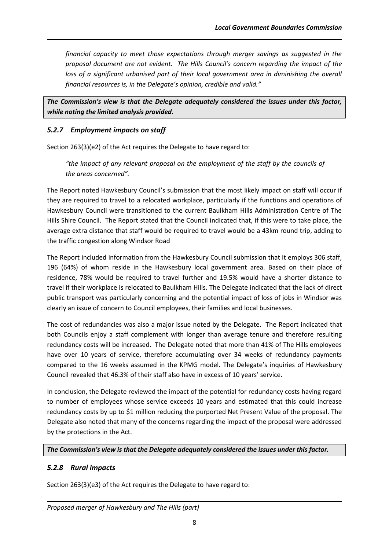*financial capacity to meet those expectations through merger savings as suggested in the proposal document are not evident. The Hills Council's concern regarding the impact of the loss of a significant urbanised part of their local government area in diminishing the overall financial resources is, in the Delegate's opinion, credible and valid."*

*The Commission's view is that the Delegate adequately considered the issues under this factor, while noting the limited analysis provided.*

### *5.2.7 Employment impacts on staff*

Section 263(3)(e2) of the Act requires the Delegate to have regard to:

*"the impact of any relevant proposal on the employment of the staff by the councils of the areas concerned".*

The Report noted Hawkesbury Council's submission that the most likely impact on staff will occur if they are required to travel to a relocated workplace, particularly if the functions and operations of Hawkesbury Council were transitioned to the current Baulkham Hills Administration Centre of The Hills Shire Council. The Report stated that the Council indicated that, if this were to take place, the average extra distance that staff would be required to travel would be a 43km round trip, adding to the traffic congestion along Windsor Road

The Report included information from the Hawkesbury Council submission that it employs 306 staff, 196 (64%) of whom reside in the Hawkesbury local government area. Based on their place of residence, 78% would be required to travel further and 19.5% would have a shorter distance to travel if their workplace is relocated to Baulkham Hills. The Delegate indicated that the lack of direct public transport was particularly concerning and the potential impact of loss of jobs in Windsor was clearly an issue of concern to Council employees, their families and local businesses.

The cost of redundancies was also a major issue noted by the Delegate. The Report indicated that both Councils enjoy a staff complement with longer than average tenure and therefore resulting redundancy costs will be increased. The Delegate noted that more than 41% of The Hills employees have over 10 years of service, therefore accumulating over 34 weeks of redundancy payments compared to the 16 weeks assumed in the KPMG model. The Delegate's inquiries of Hawkesbury Council revealed that 46.3% of their staff also have in excess of 10 years' service.

In conclusion, the Delegate reviewed the impact of the potential for redundancy costs having regard to number of employees whose service exceeds 10 years and estimated that this could increase redundancy costs by up to \$1 million reducing the purported Net Present Value of the proposal. The Delegate also noted that many of the concerns regarding the impact of the proposal were addressed by the protections in the Act.

*The Commission's view is that the Delegate adequately considered the issues under this factor.* 

## *5.2.8 Rural impacts*

Section 263(3)(e3) of the Act requires the Delegate to have regard to: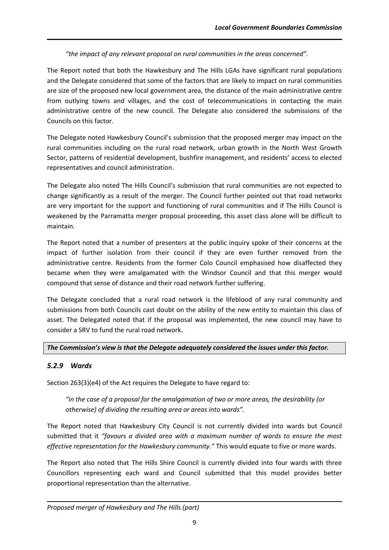### *"the impact of any relevant proposal on rural communities in the areas concerned".*

The Report noted that both the Hawkesbury and The Hills LGAs have significant rural populations and the Delegate considered that some of the factors that are likely to impact on rural communities are size of the proposed new local government area, the distance of the main administrative centre from outlying towns and villages, and the cost of telecommunications in contacting the main administrative centre of the new council. The Delegate also considered the submissions of the Councils on this factor.

The Delegate noted Hawkesbury Council's submission that the proposed merger may impact on the rural communities including on the rural road network, urban growth in the North West Growth Sector, patterns of residential development, bushfire management, and residents' access to elected representatives and council administration.

The Delegate also noted The Hills Council's submission that rural communities are not expected to change significantly as a result of the merger. The Council further pointed out that road networks are very important for the support and functioning of rural communities and if The Hills Council is weakened by the Parramatta merger proposal proceeding, this asset class alone will be difficult to maintain.

The Report noted that a number of presenters at the public inquiry spoke of their concerns at the impact of further isolation from their council if they are even further removed from the administrative centre. Residents from the former Colo Council emphasised how disaffected they became when they were amalgamated with the Windsor Council and that this merger would compound that sense of distance and their road network further suffering.

The Delegate concluded that a rural road network is the lifeblood of any rural community and submissions from both Councils cast doubt on the ability of the new entity to maintain this class of asset. The Delegated noted that if the proposal was implemented, the new council may have to consider a SRV to fund the rural road network.

### *The Commission's view is that the Delegate adequately considered the issues under this factor.*

## *5.2.9 Wards*

Section 263(3)(e4) of the Act requires the Delegate to have regard to:

*"in the case of a proposal for the amalgamation of two or more areas, the desirability (or otherwise) of dividing the resulting area or areas into wards".*

The Report noted that Hawkesbury City Council is not currently divided into wards but Council submitted that it *"favours a divided area with a maximum number of wards to ensure the most effective representation for the Hawkesbury community."* This would equate to five or more wards.

The Report also noted that The Hills Shire Council is currently divided into four wards with three Councillors representing each ward and Council submitted that this model provides better proportional representation than the alternative.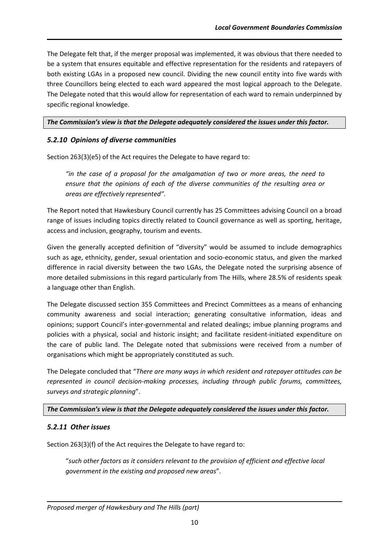The Delegate felt that, if the merger proposal was implemented, it was obvious that there needed to be a system that ensures equitable and effective representation for the residents and ratepayers of both existing LGAs in a proposed new council. Dividing the new council entity into five wards with three Councillors being elected to each ward appeared the most logical approach to the Delegate. The Delegate noted that this would allow for representation of each ward to remain underpinned by specific regional knowledge.

#### *The Commission's view is that the Delegate adequately considered the issues under this factor.*

### *5.2.10 Opinions of diverse communities*

Section 263(3)(e5) of the Act requires the Delegate to have regard to:

*"in the case of a proposal for the amalgamation of two or more areas, the need to ensure that the opinions of each of the diverse communities of the resulting area or areas are effectively represented".*

The Report noted that Hawkesbury Council currently has 25 Committees advising Council on a broad range of issues including topics directly related to Council governance as well as sporting, heritage, access and inclusion, geography, tourism and events.

Given the generally accepted definition of "diversity" would be assumed to include demographics such as age, ethnicity, gender, sexual orientation and socio-economic status, and given the marked difference in racial diversity between the two LGAs, the Delegate noted the surprising absence of more detailed submissions in this regard particularly from The Hills, where 28.5% of residents speak a language other than English.

The Delegate discussed section 355 Committees and Precinct Committees as a means of enhancing community awareness and social interaction; generating consultative information, ideas and opinions; support Council's inter-governmental and related dealings; imbue planning programs and policies with a physical, social and historic insight; and facilitate resident-initiated expenditure on the care of public land. The Delegate noted that submissions were received from a number of organisations which might be appropriately constituted as such.

The Delegate concluded that "*There are many ways in which resident and ratepayer attitudes can be represented in council decision-making processes, including through public forums, committees, surveys and strategic planning*".

*The Commission's view is that the Delegate adequately considered the issues under this factor.* 

#### *5.2.11 Other issues*

Section 263(3)(f) of the Act requires the Delegate to have regard to:

"*such other factors as it considers relevant to the provision of efficient and effective local government in the existing and proposed new areas*".